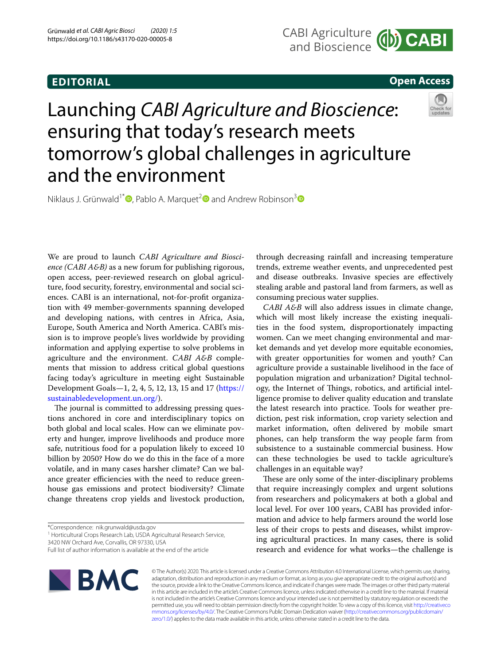## **EDITORIAL**

## **Open Access**

# Launching *CABI Agriculture and Bioscience*: ensuring that today's research meets tomorrow's global challenges in agriculture and the environment

Niklaus J. Grünwald<sup>1\*</sup>  $\bullet$ [,](https://orcid.org/0000-0003-1656-7602) Pablo A. Marquet<sup>2</sup> and Andrew Robinson<sup>[3](https://orcid.org/0000-0003-3219-6936)</sup>

We are proud to launch *CABI Agriculture and Bioscience (CABI A&B)* as a new forum for publishing rigorous, open access, peer-reviewed research on global agriculture, food security, forestry, environmental and social sciences. CABI is an international, not-for-proft organization with 49 member-governments spanning developed and developing nations, with centres in Africa, Asia, Europe, South America and North America. CABI's mission is to improve people's lives worldwide by providing information and applying expertise to solve problems in agriculture and the environment. *CABI A&B* complements that mission to address critical global questions facing today's agriculture in meeting eight Sustainable Development Goals—1, 2, 4, 5, 12, 13, 15 and 17 [\(https://](https://sustainabledevelopment.un.org/) [sustainabledevelopment.un.org/\)](https://sustainabledevelopment.un.org/).

The journal is committed to addressing pressing questions anchored in core and interdisciplinary topics on both global and local scales. How can we eliminate poverty and hunger, improve livelihoods and produce more safe, nutritious food for a population likely to exceed 10 billion by 2050? How do we do this in the face of a more volatile, and in many cases harsher climate? Can we balance greater efficiencies with the need to reduce greenhouse gas emissions and protect biodiversity? Climate change threatens crop yields and livestock production,

<sup>1</sup> Horticultural Crops Research Lab, USDA Agricultural Research Service,

3420 NW Orchard Ave, Corvallis, OR 97330, USA

through decreasing rainfall and increasing temperature trends, extreme weather events, and unprecedented pest and disease outbreaks. Invasive species are efectively stealing arable and pastoral land from farmers, as well as consuming precious water supplies.

*CABI A&B* will also address issues in climate change, which will most likely increase the existing inequalities in the food system, disproportionately impacting women. Can we meet changing environmental and market demands and yet develop more equitable economies, with greater opportunities for women and youth? Can agriculture provide a sustainable livelihood in the face of population migration and urbanization? Digital technology, the Internet of Things, robotics, and artificial intelligence promise to deliver quality education and translate the latest research into practice. Tools for weather prediction, pest risk information, crop variety selection and market information, often delivered by mobile smart phones, can help transform the way people farm from subsistence to a sustainable commercial business. How can these technologies be used to tackle agriculture's challenges in an equitable way?

These are only some of the inter-disciplinary problems that require increasingly complex and urgent solutions from researchers and policymakers at both a global and local level. For over 100 years, CABI has provided information and advice to help farmers around the world lose less of their crops to pests and diseases, whilst improving agricultural practices. In many cases, there is solid research and evidence for what works—the challenge is



© The Author(s) 2020. This article is licensed under a Creative Commons Attribution 4.0 International License, which permits use, sharing, adaptation, distribution and reproduction in any medium or format, as long as you give appropriate credit to the original author(s) and the source, provide a link to the Creative Commons licence, and indicate if changes were made. The images or other third party material in this article are included in the article's Creative Commons licence, unless indicated otherwise in a credit line to the material. If material is not included in the article's Creative Commons licence and your intended use is not permitted by statutory regulation or exceeds the permitted use, you will need to obtain permission directly from the copyright holder. To view a copy of this licence, visit [http://creativeco](http://creativecommons.org/licenses/by/4.0/) [mmons.org/licenses/by/4.0/.](http://creativecommons.org/licenses/by/4.0/) The Creative Commons Public Domain Dedication waiver ([http://creativecommons.org/publicdomain/](http://creativecommons.org/publicdomain/zero/1.0/) [zero/1.0/\)](http://creativecommons.org/publicdomain/zero/1.0/) applies to the data made available in this article, unless otherwise stated in a credit line to the data.

<sup>\*</sup>Correspondence: nik.grunwald@usda.gov

Full list of author information is available at the end of the article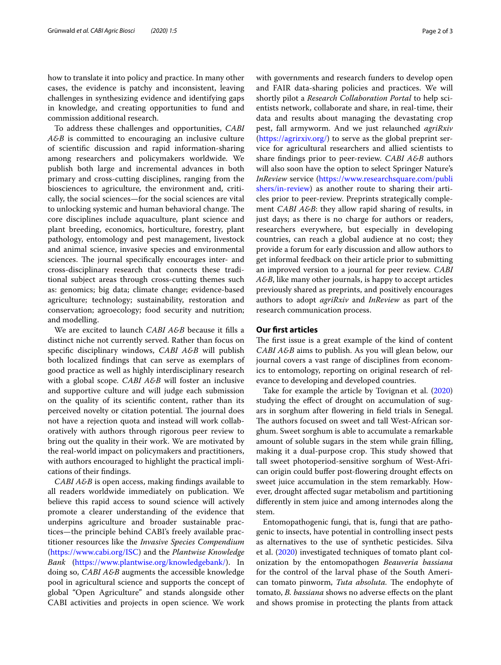how to translate it into policy and practice. In many other cases, the evidence is patchy and inconsistent, leaving challenges in synthesizing evidence and identifying gaps in knowledge, and creating opportunities to fund and commission additional research.

To address these challenges and opportunities, *CABI A&B* is committed to encouraging an inclusive culture of scientifc discussion and rapid information-sharing among researchers and policymakers worldwide. We publish both large and incremental advances in both primary and cross-cutting disciplines, ranging from the biosciences to agriculture, the environment and, critically, the social sciences—for the social sciences are vital to unlocking systemic and human behavioral change. The core disciplines include aquaculture, plant science and plant breeding, economics, horticulture, forestry, plant pathology, entomology and pest management, livestock and animal science, invasive species and environmental sciences. The journal specifically encourages inter- and cross-disciplinary research that connects these traditional subject areas through cross-cutting themes such as: genomics; big data; climate change; evidence-based agriculture; technology; sustainability, restoration and conservation; agroecology; food security and nutrition; and modelling.

We are excited to launch *CABI A&B* because it flls a distinct niche not currently served. Rather than focus on specifc disciplinary windows, *CABI A&B* will publish both localized fndings that can serve as exemplars of good practice as well as highly interdisciplinary research with a global scope. *CABI A&B* will foster an inclusive and supportive culture and will judge each submission on the quality of its scientifc content, rather than its perceived novelty or citation potential. The journal does not have a rejection quota and instead will work collaboratively with authors through rigorous peer review to bring out the quality in their work. We are motivated by the real-world impact on policymakers and practitioners, with authors encouraged to highlight the practical implications of their fndings.

*CABI A&B* is open access, making fndings available to all readers worldwide immediately on publication. We believe this rapid access to sound science will actively promote a clearer understanding of the evidence that underpins agriculture and broader sustainable practices—the principle behind CABI's freely available practitioner resources like the *Invasive Species Compendium* ([https://www.cabi.org/ISC\)](https://www.cabi.org/ISC) and the *Plantwise Knowledge Bank* [\(https://www.plantwise.org/knowledgebank/](https://www.plantwise.org/knowledgebank/)). In doing so, *CABI A&B* augments the accessible knowledge pool in agricultural science and supports the concept of global "Open Agriculture" and stands alongside other CABI activities and projects in open science. We work with governments and research funders to develop open and FAIR data-sharing policies and practices. We will shortly pilot a *Research Collaboration Portal* to help scientists network, collaborate and share, in real-time, their data and results about managing the devastating crop pest, fall armyworm. And we just relaunched *agriRxiv* ([https://agrirxiv.org/\)](https://agrirxiv.org/) to serve as the global preprint service for agricultural researchers and allied scientists to share fndings prior to peer-review. *CABI A&B* authors will also soon have the option to select Springer Nature's *InReview* service [\(https://www.researchsquare.com/publi](https://www.researchsquare.com/publishers/in-review) [shers/in-review](https://www.researchsquare.com/publishers/in-review)) as another route to sharing their articles prior to peer-review. Preprints strategically complement *CABI A&B*: they allow rapid sharing of results, in just days; as there is no charge for authors or readers,

researchers everywhere, but especially in developing countries, can reach a global audience at no cost; they provide a forum for early discussion and allow authors to get informal feedback on their article prior to submitting an improved version to a journal for peer review. *CABI A&B*, like many other journals, is happy to accept articles previously shared as preprints, and positively encourages authors to adopt *agriRxiv* and *InReview* as part of the research communication process.

### **Our frst articles**

The first issue is a great example of the kind of content *CABI A&B* aims to publish. As you will glean below, our journal covers a vast range of disciplines from economics to entomology, reporting on original research of relevance to developing and developed countries.

Take for example the article by Tovignan et al. ([2020](#page-2-0)) studying the efect of drought on accumulation of sugars in sorghum after fowering in feld trials in Senegal. The authors focused on sweet and tall West-African sorghum. Sweet sorghum is able to accumulate a remarkable amount of soluble sugars in the stem while grain flling, making it a dual-purpose crop. This study showed that tall sweet photoperiod-sensitive sorghum of West-African origin could bufer post-fowering drought efects on sweet juice accumulation in the stem remarkably. However, drought afected sugar metabolism and partitioning diferently in stem juice and among internodes along the stem.

Entomopathogenic fungi, that is, fungi that are pathogenic to insects, have potential in controlling insect pests as alternatives to the use of synthetic pesticides. Silva et al. ([2020](#page-2-1)) investigated techniques of tomato plant colonization by the entomopathogen *Beauveria bassiana* for the control of the larval phase of the South American tomato pinworm, *Tuta absoluta*. The endophyte of tomato, *B. bassiana* shows no adverse effects on the plant and shows promise in protecting the plants from attack